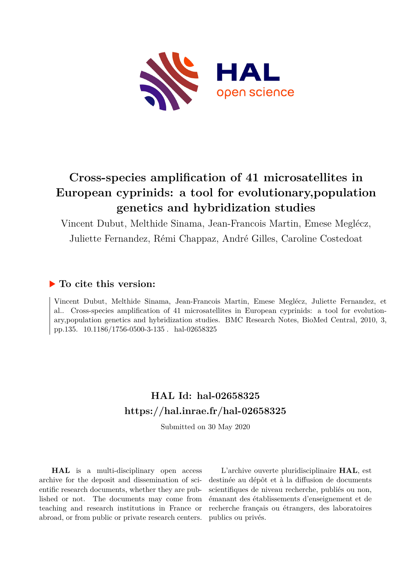

## **Cross-species amplification of 41 microsatellites in European cyprinids: a tool for evolutionary,population genetics and hybridization studies**

Vincent Dubut, Melthide Sinama, Jean-Francois Martin, Emese Meglécz,

Juliette Fernandez, Rémi Chappaz, André Gilles, Caroline Costedoat

## **To cite this version:**

Vincent Dubut, Melthide Sinama, Jean-Francois Martin, Emese Meglécz, Juliette Fernandez, et al.. Cross-species amplification of 41 microsatellites in European cyprinids: a tool for evolutionary,population genetics and hybridization studies. BMC Research Notes, BioMed Central, 2010, 3, pp.135. 10.1186/1756-0500-3-135 hal-02658325

## **HAL Id: hal-02658325 <https://hal.inrae.fr/hal-02658325>**

Submitted on 30 May 2020

**HAL** is a multi-disciplinary open access archive for the deposit and dissemination of scientific research documents, whether they are published or not. The documents may come from teaching and research institutions in France or abroad, or from public or private research centers.

L'archive ouverte pluridisciplinaire **HAL**, est destinée au dépôt et à la diffusion de documents scientifiques de niveau recherche, publiés ou non, émanant des établissements d'enseignement et de recherche français ou étrangers, des laboratoires publics ou privés.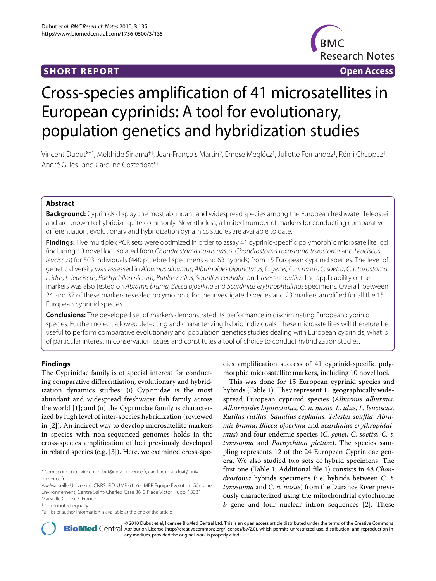

# Cross-species amplification of 41 microsatellites in European cyprinids: A tool for evolutionary, population genetics and hybridization studies

Vincent Dubut\*†1, Melthide Sinama†1, Jean-François Martin2, Emese Meglécz1, Juliette Fernandez1, Rémi Chappaz1, André Gilles<sup>1</sup> and Caroline Costedoat\*<sup>1</sup>

#### **Abstract**

**Background:** Cyprinids display the most abundant and widespread species among the European freshwater Teleostei and are known to hybridize quite commonly. Nevertheless, a limited number of markers for conducting comparative differentiation, evolutionary and hybridization dynamics studies are available to date.

**Findings:** Five multiplex PCR sets were optimized in order to assay 41 cyprinid-specific polymorphic microsatellite loci (including 10 novel loci isolated from Chondrostoma nasus nasus, Chondrostoma toxostoma toxostoma and Leuciscus leuciscus) for 503 individuals (440 purebred specimens and 63 hybrids) from 15 European cyprinid species. The level of genetic diversity was assessed in Alburnus alburnus, Alburnoides bipunctatus, C. genei, C. n. nasus, C. soetta, C. t. toxostoma, L. idus, L. leuciscus, Pachychilon pictum, Rutilus rutilus, Squalius cephalus and Telestes souffia. The applicability of the markers was also tested on Abramis brama, Blicca bjoerkna and Scardinius erythrophtalmus specimens. Overall, between 24 and 37 of these markers revealed polymorphic for the investigated species and 23 markers amplified for all the 15 European cyprinid species.

**Conclusions:** The developed set of markers demonstrated its performance in discriminating European cyprinid species. Furthermore, it allowed detecting and characterizing hybrid individuals. These microsatellites will therefore be useful to perform comparative evolutionary and population genetics studies dealing with European cyprinids, what is of particular interest in conservation issues and constitutes a tool of choice to conduct hybridization studies.

#### **Findings**

The Cyprinidae family is of special interest for conducting comparative differentiation, evolutionary and hybridization dynamics studies: (i) Cyprinidae is the most abundant and widespread freshwater fish family across the world [1]; and (ii) the Cyprinidae family is characterized by high level of inter-species hybridization (reviewed in [2]). An indirect way to develop microsatellite markers in species with non-sequenced genomes holds in the cross-species amplification of loci previously developed in related species (e.g. [3]). Here, we examined cross-spe-

\* Correspondence: vincent.dubut@univ-provence.fr, caroline.costedoat@univprovence.fr

Aix-Marseille Université, CNRS, IRD, UMR 6116 - IMEP, Equipe Evolution Génome Environnement, Centre Saint-Charles, Case 36, 3 Place Victor Hugo, 13331 Marseille Cedex 3, France

† Contributed equally

cies amplification success of 41 cyprinid-specific polymorphic microsatellite markers, including 10 novel loci.

This was done for 15 European cyprinid species and hybrids (Table 1). They represent 11 geographically widespread European cyprinid species (*Alburnus alburnus, Alburnoides bipunctatus, C. n. nasus, L. idus, L. leuciscus, Rutilus rutilus, Squalius cephalus, Telestes souffia, Abramis brama, Blicca bjoerkna* and *Scardinius erythrophtalmus*) and four endemic species (*C. genei, C. soetta, C. t. toxostoma* and *Pachychilon pictum*). The species sampling represents 12 of the 24 European Cyprinidae genera. We also studied two sets of hybrid specimens. The first one (Table 1; Additional file 1) consists in 48 *Chondrostoma* hybrids specimens (i.e. hybrids between *C. t. toxostoma* and *C. n. nasus*) from the Durance River previously characterized using the mitochondrial cytochrome *b* gene and four nuclear intron sequences [2]. These



2010 Dubut et al; licensee [BioMed](http://www.biomedcentral.com/) Central Ltd. This is an open access article distributed under the terms of the Creative Commons (http://creativecommons.org/licenses/by/2.0), which permits unrestricted use, distribution, any medium, provided the original work is properly cited.

Full list of author information is available at the end of the article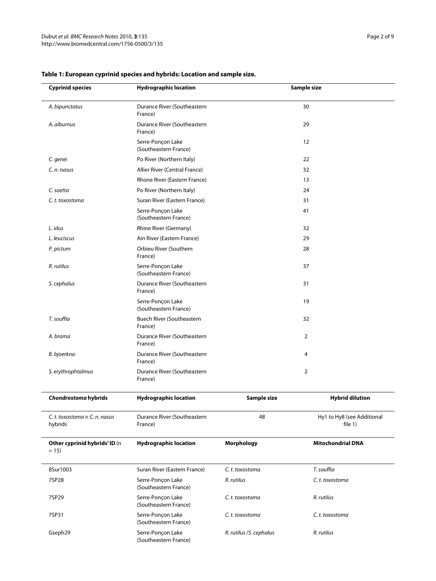| <b>Cyprinid species</b>                         | <b>Hydrographic location</b>               |                                        | Sample size                             |  |  |
|-------------------------------------------------|--------------------------------------------|----------------------------------------|-----------------------------------------|--|--|
| A. bipunctatus                                  | Durance River (Southeastern<br>France)     |                                        | 30                                      |  |  |
| A. alburnus                                     | Durance River (Southeastern<br>France)     |                                        | 29                                      |  |  |
|                                                 | Serre-Ponçon Lake<br>(Southeastern France) |                                        | 12                                      |  |  |
| C. genei                                        | Po River (Northern Italy)                  |                                        | 22                                      |  |  |
| C. n. nasus                                     | Allier River (Central France)              |                                        | 32                                      |  |  |
|                                                 | Rhone River (Eastern France)               |                                        | 13                                      |  |  |
| C. soetta                                       | Po River (Northern Italy)                  |                                        | 24                                      |  |  |
| C. t. toxostoma                                 | Suran River (Eastern France)               |                                        | 31                                      |  |  |
|                                                 | Serre-Ponçon Lake<br>(Southeastern France) |                                        | 41                                      |  |  |
| L. idus                                         | Rhine River (Germany)                      |                                        | 32                                      |  |  |
| L. leuciscus                                    | Ain River (Eastern France)                 |                                        | 29                                      |  |  |
| P. pictum                                       | Orbieu River (Southern<br>France)          |                                        | 28                                      |  |  |
| R. rutilus                                      | Serre-Ponçon Lake<br>(Southeastern France) |                                        | 37                                      |  |  |
| S. cephalus                                     | Durance River (Southeastern<br>France)     |                                        | 31                                      |  |  |
|                                                 | Serre-Ponçon Lake<br>(Southeastern France) |                                        | 19                                      |  |  |
| T. souffia                                      | Buech River (Southeastern<br>France)       |                                        | 32                                      |  |  |
| A. brama                                        | Durance River (Southeastern<br>France)     |                                        | 2                                       |  |  |
| B. bjoerkna                                     | Durance River (Southeastern<br>France)     |                                        | 4                                       |  |  |
| S. erythrophtalmus                              | Durance River (Southeastern<br>France)     |                                        | 2                                       |  |  |
| Chondrostoma hybrids                            | <b>Hydrographic location</b>               | Sample size                            | <b>Hybrid dilution</b>                  |  |  |
| C. t. toxostoma $\times$ C. n. nasus<br>hybrids | Durance River (Southeastern<br>France)     | 48                                     | Hy1 to Hy8 (see Additional<br>file $1)$ |  |  |
| Other cyprinid hybrids' ID (n<br>$= 15$         | <b>Hydrographic location</b>               | <b>Morphology</b>                      | <b>Mitochondrial DNA</b>                |  |  |
| 8Sur1003                                        | Suran River (Eastern France)               | C.t. toxostoma                         | T. souffia                              |  |  |
| 7SP28                                           | Serre-Ponçon Lake<br>(Southeastern France) | R. rutilus                             | C.t. toxostoma                          |  |  |
| 7SP29                                           | Serre-Ponçon Lake<br>(Southeastern France) | C.t. toxostoma                         | R. rutilus                              |  |  |
| 7SP31                                           | Serre-Ponçon Lake<br>(Southeastern France) | C.t. toxostoma                         | C. t. toxostoma                         |  |  |
| Gseph29                                         | Serre-Ponçon Lake<br>(Southeastern France) | R. rutilus / S. cephalus<br>R. rutilus |                                         |  |  |

### **Table 1: European cyprinid species and hybrids: Location and sample size.**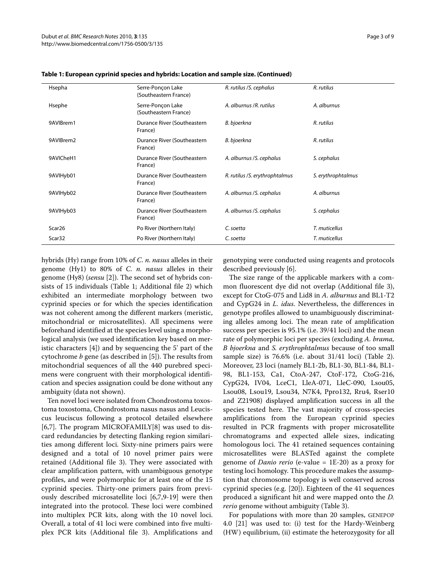| Hsepha             | Serre-Ponçon Lake<br>(Southeastern France) | R. rutilus / S. cephalus        | R. rutilus         |
|--------------------|--------------------------------------------|---------------------------------|--------------------|
| Hsephe             | Serre-Ponçon Lake<br>(Southeastern France) | A. alburnus / R. rutilus        | A. alburnus        |
| 9AVIBrem1          | Durance River (Southeastern<br>France)     | B. bjoerkna                     | R. rutilus         |
| 9AVIBrem2          | Durance River (Southeastern<br>France)     | B. bjoerkna                     | R. rutilus         |
| 9AVICheH1          | Durance River (Southeastern<br>France)     | A. alburnus / S. cephalus       | S. cephalus        |
| 9AVIHyb01          | Durance River (Southeastern<br>France)     | R. rutilus / S. erythrophtalmus | S. erythrophtalmus |
| 9AVIHyb02          | Durance River (Southeastern<br>France)     | A. alburnus / S. cephalus       | A. alburnus        |
| 9AVIHyb03          | Durance River (Southeastern<br>France)     | A. alburnus / S. cephalus       | S. cephalus        |
| Scar <sub>26</sub> | Po River (Northern Italy)                  | C. soetta                       | T. muticellus      |
| Scar32             | Po River (Northern Italy)                  | C. soetta                       | T. muticellus      |

**Table 1: European cyprinid species and hybrids: Location and sample size. (Continued)**

hybrids (Hy) range from 10% of *C. n. nasus* alleles in their genome (Hy1) to 80% of *C. n. nasus* alleles in their genome (Hy8) (*sensu* [2]). The second set of hybrids consists of 15 individuals (Table 1; Additional file 2) which exhibited an intermediate morphology between two cyprinid species or for which the species identification was not coherent among the different markers (meristic, mitochondrial or microsatellites). All specimens were beforehand identified at the species level using a morphological analysis (we used identification key based on meristic characters [4]) and by sequencing the 5' part of the cytochrome *b* gene (as described in [5]). The results from mitochondrial sequences of all the 440 purebred specimens were congruent with their morphological identification and species assignation could be done without any ambiguity (data not shown).

Ten novel loci were isolated from Chondrostoma toxostoma toxostoma, Chondrostoma nasus nasus and Leuciscus leuciscus following a protocol detailed elsewhere [6,7]. The program MICROFAMILY[8] was used to discard redundancies by detecting flanking region similarities among different loci. Sixty-nine primers pairs were designed and a total of 10 novel primer pairs were retained (Additional file 3). They were associated with clear amplification pattern, with unambiguous genotype profiles, and were polymorphic for at least one of the 15 cyprinid species. Thirty-one primers pairs from previously described microsatellite loci [6,7,9-19] were then integrated into the protocol. These loci were combined into multiplex PCR kits, along with the 10 novel loci. Overall, a total of 41 loci were combined into five multiplex PCR kits (Additional file 3). Amplifications and genotyping were conducted using reagents and protocols described previously [6].

The size range of the applicable markers with a common fluorescent dye did not overlap (Additional file 3), except for CtoG-075 and Lid8 in *A. alburnus* and BL1-T2 and CypG24 in *L. idus*. Nevertheless, the differences in genotype profiles allowed to unambiguously discriminating alleles among loci. The mean rate of amplification success per species is 95.1% (i.e. 39/41 loci) and the mean rate of polymorphic loci per species (excluding *A. brama, B bjoerkna* and *S. erythrophtalmus* because of too small sample size) is 76.6% (i.e. about 31/41 loci) (Table 2). Moreover, 23 loci (namely BL1-2b, BL1-30, BL1-84, BL1- 98, BL1-153, Ca1, CtoA-247, CtoF-172, CtoG-216, CypG24, IV04, LceC1, LleA-071, LleC-090, Lsou05, Lsou08, Lsou19, Lsou34, N7K4, Ppro132, Rru4, Rser10 and Z21908) displayed amplification success in all the species tested here. The vast majority of cross-species amplifications from the European cyprinid species resulted in PCR fragments with proper microsatellite chromatograms and expected allele sizes, indicating homologous loci. The 41 retained sequences containing microsatellites were BLASTed against the complete genome of *Danio rerio* (e-value = 1E-20) as a proxy for testing loci homology. This procedure makes the assumption that chromosome topology is well conserved across cyprinid species (e.g. [20]). Eighteen of the 41 sequences produced a significant hit and were mapped onto the *D. rerio* genome without ambiguity (Table 3).

For populations with more than 20 samples, GENEPOP 4.0 [21] was used to: (i) test for the Hardy-Weinberg (HW) equilibrium, (ii) estimate the heterozygosity for all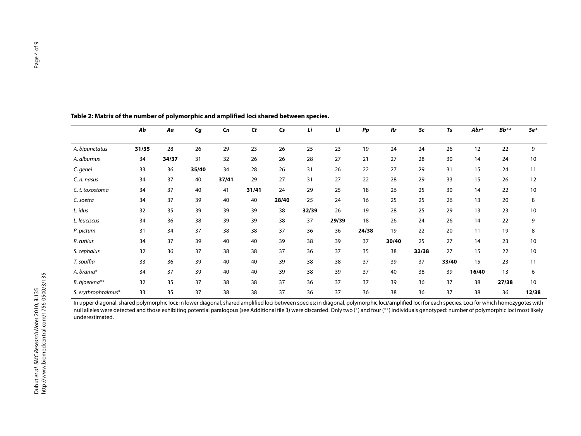|                     | Ab    | Aa    | $\epsilon$ | Cn    | <b>Ct</b> | $\mathsf{Cs}$ | Li    | П     | $\boldsymbol{P}\boldsymbol{p}$ | Rr    | Sc    | Ts    | Abr*  | $Bb***$ | Se*   |
|---------------------|-------|-------|------------|-------|-----------|---------------|-------|-------|--------------------------------|-------|-------|-------|-------|---------|-------|
| A. bipunctatus      | 31/35 | 28    | 26         | 29    | 23        | 26            | 25    | 23    | 19                             | 24    | 24    | 26    | 12    | 22      | 9     |
| A. alburnus         | 34    | 34/37 | 31         | 32    | 26        | 26            | 28    | 27    | 21                             | 27    | 28    | 30    | 14    | 24      | 10    |
| C. genei            | 33    | 36    | 35/40      | 34    | 28        | 26            | 31    | 26    | 22                             | 27    | 29    | 31    | 15    | 24      | 11    |
| C. n. nasus         | 34    | 37    | 40         | 37/41 | 29        | 27            | 31    | 27    | 22                             | 28    | 29    | 33    | 15    | 26      | 12    |
| C.t. toxostoma      | 34    | 37    | 40         | 41    | 31/41     | 24            | 29    | 25    | 18                             | 26    | 25    | 30    | 14    | 22      | 10    |
| C. soetta           | 34    | 37    | 39         | 40    | 40        | 28/40         | 25    | 24    | 16                             | 25    | 25    | 26    | 13    | 20      | 8     |
| L. idus             | 32    | 35    | 39         | 39    | 39        | 38            | 32/39 | 26    | 19                             | 28    | 25    | 29    | 13    | 23      | 10    |
| L. leuciscus        | 34    | 36    | 38         | 39    | 39        | 38            | 37    | 29/39 | 18                             | 26    | 24    | 26    | 14    | 22      | 9     |
| P. pictum           | 31    | 34    | 37         | 38    | 38        | 37            | 36    | 36    | 24/38                          | 19    | 22    | 20    | 11    | 19      | 8     |
| R. rutilus          | 34    | 37    | 39         | 40    | 40        | 39            | 38    | 39    | 37                             | 30/40 | 25    | 27    | 14    | 23      | 10    |
| S. cephalus         | 32    | 36    | 37         | 38    | 38        | 37            | 36    | 37    | 35                             | 38    | 32/38 | 27    | 15    | 22      | 10    |
| T. souffia          | 33    | 36    | 39         | 40    | 40        | 39            | 38    | 38    | 37                             | 39    | 37    | 33/40 | 15    | 23      | 11    |
| A. brama*           | 34    | 37    | 39         | 40    | 40        | 39            | 38    | 39    | 37                             | 40    | 38    | 39    | 16/40 | 13      | 6     |
| B. bjoerkna**       | 32    | 35    | 37         | 38    | 38        | 37            | 36    | 37    | 37                             | 39    | 36    | 37    | 38    | 27/38   | 10    |
| S. erythrophtalmus* | 33    | 35    | 37         | 38    | 38        | 37            | 36    | 37    | 36                             | 38    | 36    | 37    | 38    | 36      | 12/38 |

**Table 2: Matrix of the number of polymorphic and amplified loci shared between species.**

In upper diagonal, shared polymorphic loci; in lower diagonal, shared amplified loci between species; in diagonal, polymorphic loci/amplified loci for each species. Loci for which homozygotes with null alleles were detected and those exhibiting potential paralogous (see Additional file 3) were discarded. Only two (\*) and four (\*\*) individuals genotyped: number of polymorphic loci most likely underestimated.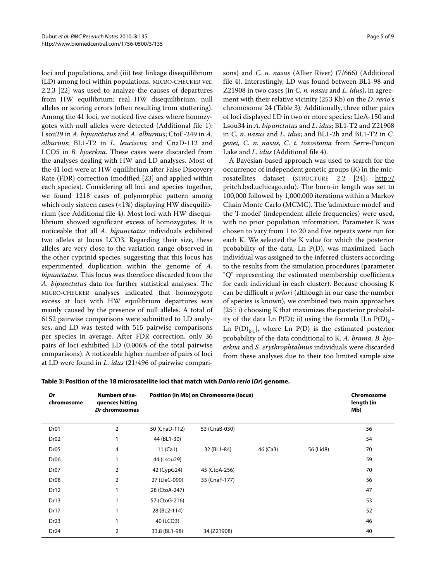loci and populations, and (iii) test linkage disequilibrium (LD) among loci within populations. MICRO-CHECKER ver. 2.2.3 [22] was used to analyze the causes of departures from HW equilibrium: real HW disequilibrium, null alleles or scoring errors (often resulting from stuttering). Among the 41 loci, we noticed five cases where homozygotes with null alleles were detected (Additional file 1): Lsou29 in *A. bipunctatus* and *A. alburnus*; CtoE-249 in *A. alburnus*; BL1-T2 in *L. leuciscus*; and CnaD-112 and LCO5 in *B. bjoerkna*. These cases were discarded from the analyses dealing with HW and LD analyses. Most of the 41 loci were at HW equilibrium after False Discovery Rate (FDR) correction (modified [23] and applied within each species). Considering all loci and species together, we found 1218 cases of polymorphic pattern among which only sixteen cases (<1%) displaying HW disequilibrium (see Additional file 4). Most loci with HW disequilibrium showed significant excess of homozygotes. It is noticeable that all *A. bipunctatus* individuals exhibited two alleles at locus LCO3. Regarding their size, these alleles are very close to the variation range observed in the other cyprinid species, suggesting that this locus has experimented duplication within the genome of *A. bipunctatus*. This locus was therefore discarded from the *A. bipunctatus* data for further statistical analyses. The MICRO-CHECKER analyses indicated that homozygote excess at loci with HW equilibrium departures was mainly caused by the presence of null alleles. A total of 6152 pairwise comparisons were submitted to LD analyses, and LD was tested with 515 pairwise comparisons per species in average. After FDR correction, only 36 pairs of loci exhibited LD (0.006% of the total pairwise comparisons). A noticeable higher number of pairs of loci at LD were found in *L. idus* (21/496 of pairwise compari-

sons) and *C. n. nasus* (Allier River) (7/666) (Additional file 4). Interestingly, LD was found between BL1-98 and Z21908 in two cases (in *C. n. nasus* and *L. idus*), in agreement with their relative vicinity (253 Kb) on the *D. rerio*'s chromosome 24 (Table 3). Additionally, three other pairs of loci displayed LD in two or more species: LleA-150 and Lsou34 in *A. bipunctatus* and *L. idus*; BL1-T2 and Z21908 in *C. n. nasus* and *L. idus*; and BL1-2b and BL1-T2 in *C. genei, C. n. nasus, C. t. toxostoma* from Serre-Ponçon Lake and *L. idus* (Additional file 4).

A Bayesian-based approach was used to search for the occurrence of independent genetic groups (K) in the microsatellites dataset (STRUCTURE 2.2 [24]; [http://](http://pritch.bsd.uchicago.edu) [pritch.bsd.uchicago.edu](http://pritch.bsd.uchicago.edu)). The burn-in length was set to 100,000 followed by 1,000,000 iterations within a Markov Chain Monte Carlo (MCMC). The 'admixture model' and the 'I-model' (independent allele frequencies) were used, with no prior population information. Parameter K was chosen to vary from 1 to 20 and five repeats were run for each K. We selected the K value for which the posterior probability of the data, Ln P(D), was maximized. Each individual was assigned to the inferred clusters according to the results from the simulation procedures (parameter "Q" representing the estimated membership coefficients for each individual in each cluster). Because choosing K can be difficult *a priori* (although in our case the number of species is known), we combined two main approaches [25]: i) choosing K that maximizes the posterior probability of the data Ln P(D); ii) using the formula [Ln P(D)<sub>k</sub> -Ln  $P(D)_{k-1}$ , where Ln  $P(D)$  is the estimated posterior probability of the data conditional to K. *A. brama, B. bjoerkna* and *S. erythrophtalmus* individuals were discarded from these analyses due to their too limited sample size

| Table 3: Position of the 18 microsatellite loci that match with <i>Danio rerio</i> (Dr) genome. |
|-------------------------------------------------------------------------------------------------|
|-------------------------------------------------------------------------------------------------|

| Dr<br>chromosome | <b>Numbers of se-</b><br>quences hitting<br>Dr chromosomes |               | Position (in Mb) on Chromosome (locus) |          |           | Chromosome<br>length (in<br>Mb) |
|------------------|------------------------------------------------------------|---------------|----------------------------------------|----------|-----------|---------------------------------|
| Dr01             | $\overline{2}$                                             | 50 (CnaD-112) | 53 (CnaB-030)                          |          |           | 56                              |
| Dr <sub>02</sub> |                                                            | 44 (BL1-30)   |                                        |          |           | 54                              |
| Dr <sub>05</sub> | 4                                                          | 11 $(Ca1)$    | 32 (BL1-84)                            | 46 (Ca3) | 56 (Lid8) | 70                              |
| Dr <sub>06</sub> |                                                            | 44 (Lsou29)   |                                        |          |           | 59                              |
| Dr <sub>07</sub> | 2                                                          | 42 (CypG24)   | 45 (CtoA-256)                          |          |           | 70                              |
| Dr <sub>08</sub> | 2                                                          | 27 (LleC-090) | 35 (CnaF-177)                          |          |           | 56                              |
| Dr12             |                                                            | 28 (CtoA-247) |                                        |          |           | 47                              |
| Dr13             |                                                            | 57 (CtoG-216) |                                        |          |           | 53                              |
| Dr17             |                                                            | 28 (BL2-114)  |                                        |          |           | 52                              |
| Dr <sub>23</sub> |                                                            | 40 (LCO3)     |                                        |          |           | 46                              |
| Dr <sub>24</sub> | 2                                                          | 33.8 (BL1-98) | 34 (Z21908)                            |          |           | 40                              |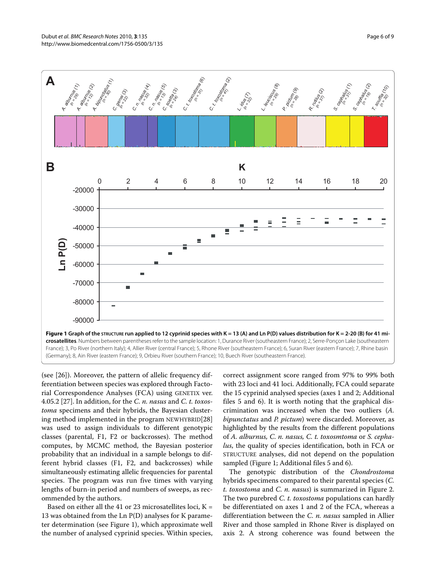

(Germany); 8, Ain River (eastern France); 9, Orbieu River (southern France); 10, Buech River (southeastern France).

(see [26]). Moreover, the pattern of allelic frequency differentiation between species was explored through Factorial Correspondence Analyses (FCA) using GENETIX ver. 4.05.2 [27]. In addition, for the *C. n. nasus* and *C. t. toxostoma* specimens and their hybrids, the Bayesian clustering method implemented in the program NEWHYBRID[28] was used to assign individuals to different genotypic classes (parental, F1, F2 or backcrosses). The method computes, by MCMC method, the Bayesian posterior probability that an individual in a sample belongs to different hybrid classes (F1, F2, and backcrosses) while simultaneously estimating allelic frequencies for parental species. The program was run five times with varying lengths of burn-in period and numbers of sweeps, as recommended by the authors.

Based on either all the 41 or 23 microsatellites loci,  $K =$ 13 was obtained from the Ln P(D) analyses for K parameter determination (see Figure 1), which approximate well the number of analysed cyprinid species. Within species,

correct assignment score ranged from 97% to 99% both with 23 loci and 41 loci. Additionally, FCA could separate the 15 cyprinid analysed species (axes 1 and 2; Additional files 5 and 6). It is worth noting that the graphical discrimination was increased when the two outliers (*A. bipunctatus* and *P. pictum*) were discarded. Moreover, as highlighted by the results from the different populations of *A. alburnus, C. n. nasus, C. t. toxosmtoma* or *S. cephalus*, the quality of species identification, both in FCA or STRUCTURE analyses, did not depend on the population sampled (Figure 1; Additional files 5 and 6).

The genotypic distribution of the *Chondrostoma* hybrids specimens compared to their parental species (*C. t. toxostoma* and *C. n. nasus*) is summarized in Figure 2. The two purebred *C. t. toxostoma* populations can hardly be differentiated on axes 1 and 2 of the FCA, whereas a differentiation between the *C. n. nasus* sampled in Allier River and those sampled in Rhone River is displayed on axis 2. A strong coherence was found between the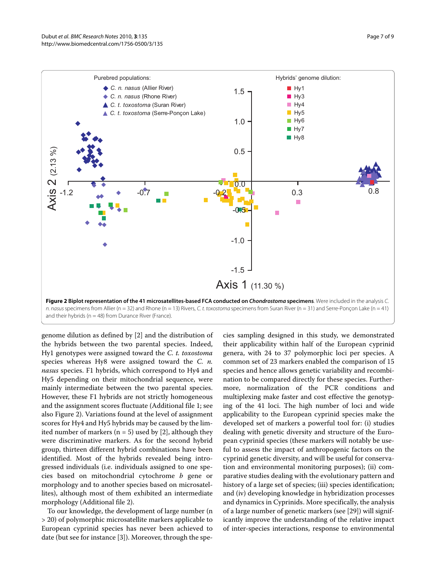

and their hybrids ( $n = 48$ ) from Durance River (France).

genome dilution as defined by [2] and the distribution of the hybrids between the two parental species. Indeed, Hy1 genotypes were assigned toward the *C. t. toxostoma* species whereas Hy8 were assigned toward the *C. n. nasus* species. F1 hybrids, which correspond to Hy4 and Hy5 depending on their mitochondrial sequence, were mainly intermediate between the two parental species. However, these F1 hybrids are not strictly homogeneous and the assignment scores fluctuate (Additional file 1; see also Figure 2). Variations found at the level of assignment scores for Hy4 and Hy5 hybrids may be caused by the limited number of markers ( $n = 5$ ) used by [2], although they were discriminative markers. As for the second hybrid group, thirteen different hybrid combinations have been identified. Most of the hybrids revealed being introgressed individuals (i.e. individuals assigned to one species based on mitochondrial cytochrome *b* gene or morphology and to another species based on microsatellites), although most of them exhibited an intermediate morphology (Additional file 2).

To our knowledge, the development of large number (n > 20) of polymorphic microsatellite markers applicable to European cyprinid species has never been achieved to date (but see for instance [3]). Moreover, through the spe-

cies sampling designed in this study, we demonstrated their applicability within half of the European cyprinid genera, with 24 to 37 polymorphic loci per species. A common set of 23 markers enabled the comparison of 15 species and hence allows genetic variability and recombination to be compared directly for these species. Furthermore, normalization of the PCR conditions and multiplexing make faster and cost effective the genotyping of the 41 loci. The high number of loci and wide applicability to the European cyprinid species make the developed set of markers a powerful tool for: (i) studies dealing with genetic diversity and structure of the European cyprinid species (these markers will notably be useful to assess the impact of anthropogenic factors on the cyprinid genetic diversity, and will be useful for conservation and environmental monitoring purposes); (ii) comparative studies dealing with the evolutionary pattern and history of a large set of species; (iii) species identification; and (iv) developing knowledge in hybridization processes and dynamics in Cyprinids. More specifically, the analysis of a large number of genetic markers (see [29]) will significantly improve the understanding of the relative impact of inter-species interactions, response to environmental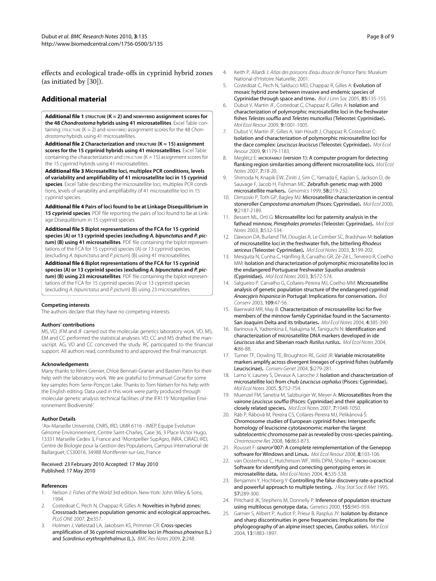effects and ecological trade-offs in cyprinid hybrid zones (as initiated by [30]).

#### **Additional material**

**[Additional file 1](http://www.biomedcentral.com/content/supplementary/1756-0500-3-135-S1.XLS) STRUCTURE (K = 2) and NEWHYBRID assignment scores for the 48 Chondrostoma hybrids using 41 microsatellites**. Excel Table containing STRUCTURE  $(K = 2)$  and NEWHYBRID assignment scores for the 48 Chondrostoma hybrids using 41 microsatellites.

**[Additional file 2](http://www.biomedcentral.com/content/supplementary/1756-0500-3-135-S2.XLS) Characterization and STRUCTURE (K = 15) assignment scores for the 15 cyprinid hybrids using 41 microsatellites**. Excel Table containing the characterization and  $STRUCTURE$  ( $K = 15$ ) assignment scores for the 15 cyprinid hybrids using 41 microsatellites.

**[Additional file 3](http://www.biomedcentral.com/content/supplementary/1756-0500-3-135-S3.XLS) Microsatellite loci, multiplex PCR conditions, levels of variability and amplifiability of 41 microsatellite loci in 15 cyprinid species**. Excel Table describing the microsatellite loci, multiplex PCR conditions, levels of variability and amplifiability of 41 microsatellite loci in 15 cyprinid species.

**[Additional file 4](http://www.biomedcentral.com/content/supplementary/1756-0500-3-135-S4.PDF) Pairs of loci found to be at Linkage Disequilibrium in 15 cyprinid species**. PDF file reporting the pairs of loci found to be at Linkage Disequilibrium in 15 cyprinid species

**[Additional file 5](http://www.biomedcentral.com/content/supplementary/1756-0500-3-135-S5.PDF) Biplot representations of the FCA for 15 cyprinid species (A) or 13 cyprinid species (excluding A. bipunctatus and P. pictum) (B) using 41 microsatellites**. PDF file containing the biplot representations of the FCA for 15 cyprinid species (A) or 13 cyprinid species (excluding A. bipunctatus and P. pictum) (B) using 41 microsatellites.

**[Additional file 6](http://www.biomedcentral.com/content/supplementary/1756-0500-3-135-S6.PDF) Biplot representations of the FCA for 15 cyprinid species (A) or 13 cyprinid species (excluding A. bipunctatus and P. pictum) (B) using 23 microsatellites**. PDF file containing the biplot representations of the FCA for 15 cyprinid species (A) or 13 cyprinid species (excluding A. bipunctatus and P. pictum) (B) using 23 microsatellites.

#### **Competing interests**

The authors declare that they have no competing interests.

#### **Authors' contributions**

MS, VD, JFM and JF carried out the molecular genetics laboratory work. VD, MS, EM and CC performed the statistical analyses. VD, CC and MS drafted the manuscript. AG, VD and CC conceived the study. RC participated to the financial support. All authors read, contributed to and approved the final manuscript.

#### **Acknowledgements**

Many thanks to Rémi Grenier, Chloé Bennati-Granier and Bastien Patin for their help with the laboratory work. We are grateful to Emmanuel Corse for some key samples from Serre-Ponçon Lake. Thanks to Tom Nielsen for his help with the English editing. Data used in this work were partly produced through molecular genetic analysis technical facilities of the IFR119 'Montpellier Environnement Biodiversité'.

#### **Author Details**

1Aix-Marseille Université, CNRS, IRD, UMR 6116 - IMEP, Equipe Evolution Génome Environnement, Centre Saint-Charles, Case 36, 3 Place Victor Hugo, 13331 Marseille Cedex 3, France and 2Montpellier SupAgro, INRA, CIRAD, IRD, Centre de Biologie pour la Gestion des Populations, Campus International de Baillarguet, CS30016, 34988 Montferrier-sur-Lez, France

#### Received: 23 February 2010 Accepted: 17 May 2010 Published: 17 May 2010

#### **References**

- 1. Nelson J: Fishes of the World 3rd edition. New-York: John Wiley & Sons; 1994.
- 2. Costedoat C, Pech N, Chappaz R, Gilles A: Novelties in hybrid zones: Crossroads between population genomic and ecological approaches**.** PLoS ONE 2007, 2:e357.
- 3. Holmen J, Vøllestad LA, Jakobsen KS, Primmer CR: Cross-species amplification of 36 cyprinid microsatellite loci in Phoxinus phoxinus (L.) and Scardinius erythrophthalmus (L.)**.** BMC Res Notes 2009, 2:248.
- 4. Keith P, Allardi J: Atlas des poissons d'eau douce de France Paris: Muséum National d'Histoire Naturelle; 2001.
- 5. Costedoat C, Pech N, Salducci MD, Chappaz R, Gilles A: Evolution of mosaic hybrid zone between invasive and endemic species of Cyprinidae through space and time**.** Biol J Linn Soc 2005, 85:135-155.
- 6. Dubut V, Martin JF, Costedoat C, Chappaz R, Gilles A: Isolation and characterization of polymorphic microsatellite loci in the freshwater fishes Telestes souffia and Telestes muticellus (Teleostei: Cyprinidae)**.** Mol Ecol Resour 2009, 9:1001-1005.
- 7. Dubut V, Martin JF, Gilles A, Van Houdt J, Chappaz R, Costedoat C: Isolation and characterization of polymorphic microsatellite loci for the dace complex: Leuciscus leuciscus (Teleostei: Cyprinidae)**.** Mol Ecol Resour 2009, 9:1179-1183.
- Meglécz E: MICROFAMILY (version 1): A computer program for detecting flanking region similarities among different microsatellite loci**.** Mol Ecol Notes 2007, 7:18-20.
- 9. Shimoda N, Knapik EW, Ziniti J, Sim C, Yamada E, Kaplan S, Jackson D, de Sauvage F, Jacob H, Fishman MC: Zebrafish genetic map with 2000 microsatellite markers**[.](http://www.ncbi.nlm.nih.gov/entrez/query.fcgi?cmd=Retrieve&db=PubMed&dopt=Abstract&list_uids=10373319)** Genomics 1999, 58:219-232.
- 10. Dimsoski P, Toth GP, Bagley MJ: Microsatellite characterization in central stoneroller Campostoma anomalum (Pisces: Cyprinidae)**.** Mol Ecol 2000, 9:2187-2189.
- 11. Bessert ML, Ortí G: Microsatellite loci for paternity analysis in the fathead minnow, Pimephales promelas (Teleostei: Cyprinidae)**.** Mol Ecol Notes 2003, 3:532-534.
- 12. Dawson DA, Burland TM, Douglas A, Le Comber SC, Bradshaw M: Isolation of microsatellite loci in the freshwater fish, the bitterling Rhodeus sericeus (Teleostei: Cyprinidae)**.** Mol Ecol Notes 2003, 3:199-202.
- 13. Mesquita N, Cunha C, Hänfling B, Carvalho GR, Zé-Zé L, Tenreiro R, Coelho MM: Isolation and characterization of polymorphic microsatellite loci in the endangered Portuguese freshwater Squalius aradensis (Cyprinidae)**.** Mol Ecol Notes 2003, 3:572-574.
- 14. Salgueiro P, Carvalho G, Collares-Pereira MJ, Coelho MM: Microsatellite analysis of genetic population structure of the endangered cyprinid Anaecypris hispanica in Portugal: Implications for conservation**.** Biol Conserv 2003, 109:47-56.
- 15. Baerwald MR, May B: Characterization of microsatellite loci for five members of the minnow family Cyprinidae found in the Sacramento-San Joaquim Delta and its tributaries**.** Mol Ecol Notes 2004, 4:385-390.
- 16. Barinova A, Yadrenkina E, Nakajima M, Taniguchi N: Identification and characterization of microsatellite DNA markers developed in ide Leuciscus idus and Siberian roach Rutilus rutilus**.** Mol Ecol Notes 2004, 4:86-88.
- 17. Turner TF, Dowling TE, Broughton RE, Gold JR: Variable microsatellite markers amplify across divergent lineages of cyprinid fishes (subfamily Leuciscinae)**.** Conserv Genet 2004, 5:279-281.
- 18. Larno V, Launey S, Devaux A, Laroche J: Isolation and characterization of microsatellite loci from chub Leuciscus cephalus (Pisces: Cyprinidae)**.** Mol Ecol Notes 2005, 5:752-754.
- 19. Muenzel FM, Sanetra M, Salzburger W, Meyer A: Microsatellites from the vairone Leuciscus souffia (Pisces: Cyprinidae) and their application to closely related species**.** Mol Ecol Notes 2007, 7:1048-1050.
- 20. Ráb P, Rábová M, Pereira CS, Collares-Pereira MJ, Pelikánová Š: Chromosome studies of European cyprinid fishes: Interspecific homology of leuciscine cytotaxonomic marker-the largest subtelocentric chromosome pair as revealed by cross-species painting**.** Chromosome Res 2008, 16:863-873.
- 21. Rousset F: GENEPOP'007: A complete reimplementation of the Genepop software for Windows and Linux**.** Mol Ecol Resour 2008, 8:103-106.
- 22. van Oosterhout C, Hutchinson WF, Wills DPM, Shipley P: MICRO-CHECKER: Software for identifying and correcting genotyping errors in microsatellite data**.** Mol Ecol Notes 2004, 4:535-538.
- 23. Benjamini Y, Hochberg Y: Controlling the false discovery rate-a practical and powerful approach to multiple testing**.** J Roy Stat Soc B Met 1995, 57:289-300.
- 24. Pritchard JK, Stephens M, Donnelly P: Inference of population structure using multilocus genotype data**.** Genetics 2000, 155:945-959.
- 25. Garnier S, Alibert P, Audiot P, Prieur B, Rasplus JY: **Isolation by distance** and sharp discontinuities in gene frequencies: Implications for the phylogeography of an alpine insect species, Carabus solieri**.** Mol Ecol 2004, 13:1883-1897.